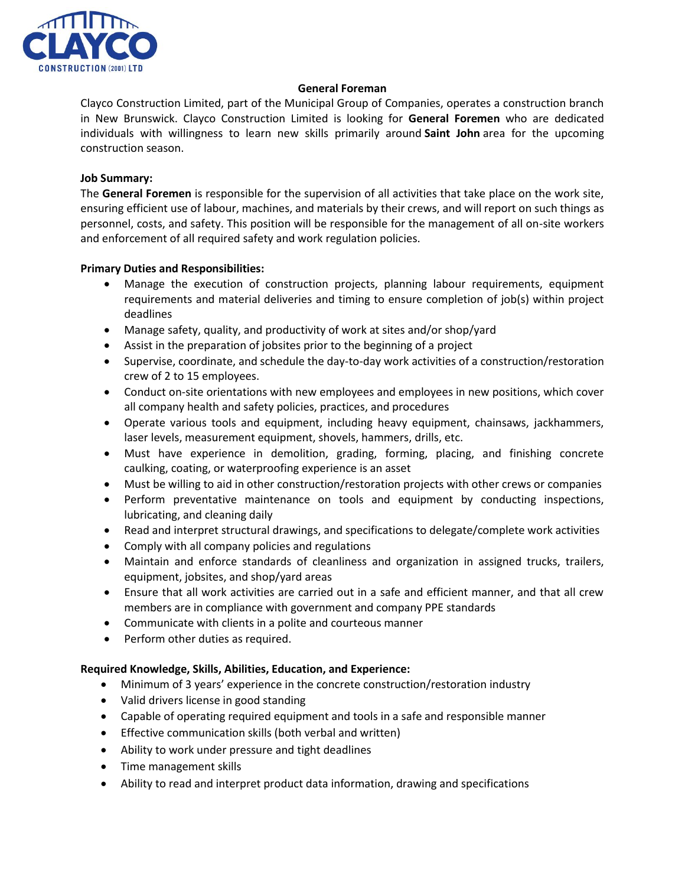

# **General Foreman**

Clayco Construction Limited, part of the Municipal Group of Companies, operates a construction branch in New Brunswick. Clayco Construction Limited is looking for **General Foremen** who are dedicated individuals with willingness to learn new skills primarily around **Saint John** area for the upcoming construction season.

# **Job Summary:**

The **General Foremen** is responsible for the supervision of all activities that take place on the work site, ensuring efficient use of labour, machines, and materials by their crews, and will report on such things as personnel, costs, and safety. This position will be responsible for the management of all on-site workers and enforcement of all required safety and work regulation policies.

# **Primary Duties and Responsibilities:**

- Manage the execution of construction projects, planning labour requirements, equipment requirements and material deliveries and timing to ensure completion of job(s) within project deadlines
- Manage safety, quality, and productivity of work at sites and/or shop/yard
- Assist in the preparation of jobsites prior to the beginning of a project
- Supervise, coordinate, and schedule the day-to-day work activities of a construction/restoration crew of 2 to 15 employees.
- Conduct on-site orientations with new employees and employees in new positions, which cover all company health and safety policies, practices, and procedures
- Operate various tools and equipment, including heavy equipment, chainsaws, jackhammers, laser levels, measurement equipment, shovels, hammers, drills, etc.
- Must have experience in demolition, grading, forming, placing, and finishing concrete caulking, coating, or waterproofing experience is an asset
- Must be willing to aid in other construction/restoration projects with other crews or companies
- Perform preventative maintenance on tools and equipment by conducting inspections, lubricating, and cleaning daily
- Read and interpret structural drawings, and specifications to delegate/complete work activities
- Comply with all company policies and regulations
- Maintain and enforce standards of cleanliness and organization in assigned trucks, trailers, equipment, jobsites, and shop/yard areas
- Ensure that all work activities are carried out in a safe and efficient manner, and that all crew members are in compliance with government and company PPE standards
- Communicate with clients in a polite and courteous manner
- Perform other duties as required.

# **Required Knowledge, Skills, Abilities, Education, and Experience:**

- Minimum of 3 years' experience in the concrete construction/restoration industry
- Valid drivers license in good standing
- Capable of operating required equipment and tools in a safe and responsible manner
- Effective communication skills (both verbal and written)
- Ability to work under pressure and tight deadlines
- Time management skills
- Ability to read and interpret product data information, drawing and specifications